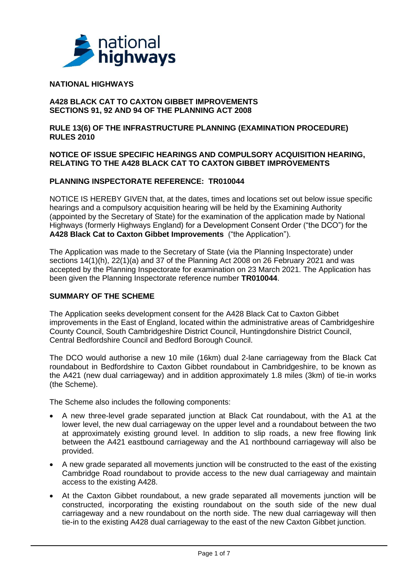

### **NATIONAL HIGHWAYS**

#### **A428 BLACK CAT TO CAXTON GIBBET IMPROVEMENTS SECTIONS 91, 92 AND 94 OF THE PLANNING ACT 2008**

**RULE 13(6) OF THE INFRASTRUCTURE PLANNING (EXAMINATION PROCEDURE) RULES 2010** 

#### **NOTICE OF ISSUE SPECIFIC HEARINGS AND COMPULSORY ACQUISITION HEARING, RELATING TO THE A428 BLACK CAT TO CAXTON GIBBET IMPROVEMENTS**

## **PLANNING INSPECTORATE REFERENCE: TR010044**

NOTICE IS HEREBY GIVEN that, at the dates, times and locations set out below issue specific hearings and a compulsory acquisition hearing will be held by the Examining Authority (appointed by the Secretary of State) for the examination of the application made by National Highways (formerly Highways England) for a Development Consent Order ("the DCO") for the **A428 Black Cat to Caxton Gibbet Improvements** ("the Application").

The Application was made to the Secretary of State (via the Planning Inspectorate) under sections 14(1)(h), 22(1)(a) and 37 of the Planning Act 2008 on 26 February 2021 and was accepted by the Planning Inspectorate for examination on 23 March 2021. The Application has been given the Planning Inspectorate reference number **TR010044**.

## **SUMMARY OF THE SCHEME**

The Application seeks development consent for the A428 Black Cat to Caxton Gibbet improvements in the East of England, located within the administrative areas of Cambridgeshire County Council, South Cambridgeshire District Council, Huntingdonshire District Council, Central Bedfordshire Council and Bedford Borough Council.

The DCO would authorise a new 10 mile (16km) dual 2-lane carriageway from the Black Cat roundabout in Bedfordshire to Caxton Gibbet roundabout in Cambridgeshire, to be known as the A421 (new dual carriageway) and in addition approximately 1.8 miles (3km) of tie-in works (the Scheme).

The Scheme also includes the following components:

- A new three-level grade separated junction at Black Cat roundabout, with the A1 at the lower level, the new dual carriageway on the upper level and a roundabout between the two at approximately existing ground level. In addition to slip roads, a new free flowing link between the A421 eastbound carriageway and the A1 northbound carriageway will also be provided.
- A new grade separated all movements junction will be constructed to the east of the existing Cambridge Road roundabout to provide access to the new dual carriageway and maintain access to the existing A428.
- At the Caxton Gibbet roundabout, a new grade separated all movements junction will be constructed, incorporating the existing roundabout on the south side of the new dual carriageway and a new roundabout on the north side. The new dual carriageway will then tie-in to the existing A428 dual carriageway to the east of the new Caxton Gibbet junction.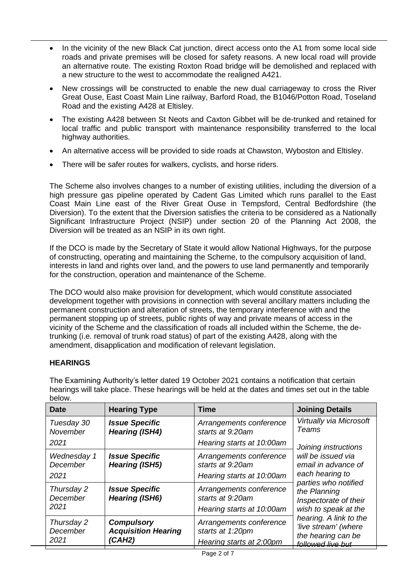- In the vicinity of the new Black Cat junction, direct access onto the A1 from some local side roads and private premises will be closed for safety reasons. A new local road will provide an alternative route. The existing Roxton Road bridge will be demolished and replaced with a new structure to the west to accommodate the realigned A421.
- New crossings will be constructed to enable the new dual carriageway to cross the River Great Ouse, East Coast Main Line railway, Barford Road, the B1046/Potton Road, Toseland Road and the existing A428 at Eltisley.
- The existing A428 between St Neots and Caxton Gibbet will be de-trunked and retained for local traffic and public transport with maintenance responsibility transferred to the local highway authorities.
- An alternative access will be provided to side roads at Chawston, Wyboston and Eltisley.
- There will be safer routes for walkers, cyclists, and horse riders.

The Scheme also involves changes to a number of existing utilities, including the diversion of a high pressure gas pipeline operated by Cadent Gas Limited which runs parallel to the East Coast Main Line east of the River Great Ouse in Tempsford, Central Bedfordshire (the Diversion). To the extent that the Diversion satisfies the criteria to be considered as a Nationally Significant Infrastructure Project (NSIP) under section 20 of the Planning Act 2008, the Diversion will be treated as an NSIP in its own right.

If the DCO is made by the Secretary of State it would allow National Highways, for the purpose of constructing, operating and maintaining the Scheme, to the compulsory acquisition of land, interests in land and rights over land, and the powers to use land permanently and temporarily for the construction, operation and maintenance of the Scheme.

The DCO would also make provision for development, which would constitute associated development together with provisions in connection with several ancillary matters including the permanent construction and alteration of streets, the temporary interference with and the permanent stopping up of streets, public rights of way and private means of access in the vicinity of the Scheme and the classification of roads all included within the Scheme, the detrunking (i.e. removal of trunk road status) of part of the existing A428, along with the amendment, disapplication and modification of relevant legislation.

# **HEARINGS**

| noamiyə will take place. These noamiyə will be nold at the dates and times set out in the table<br>below. |                                                           |                                                                          |                                                                                                                                                                                                                                                                                                                |
|-----------------------------------------------------------------------------------------------------------|-----------------------------------------------------------|--------------------------------------------------------------------------|----------------------------------------------------------------------------------------------------------------------------------------------------------------------------------------------------------------------------------------------------------------------------------------------------------------|
| <b>Date</b>                                                                                               | <b>Hearing Type</b>                                       | <b>Time</b>                                                              | <b>Joining Details</b>                                                                                                                                                                                                                                                                                         |
| Tuesday 30<br>November<br>2021                                                                            | <b>Issue Specific</b><br><b>Hearing (ISH4)</b>            | Arrangements conference<br>starts at 9:20am<br>Hearing starts at 10:00am | Virtually via Microsoft<br>Teams<br>Joining instructions<br>will be issued via<br>email in advance of<br>each hearing to<br>parties who notified<br>the Planning<br>Inspectorate of their<br>wish to speak at the<br>hearing. A link to the<br>'live stream' (where<br>the hearing can be<br>followed live but |
| Wednesday 1<br>December<br>2021                                                                           | <b>Issue Specific</b><br><b>Hearing (ISH5)</b>            | Arrangements conference<br>starts at 9:20am<br>Hearing starts at 10:00am |                                                                                                                                                                                                                                                                                                                |
| Thursday 2<br>December<br>2021                                                                            | <b>Issue Specific</b><br><b>Hearing (ISH6)</b>            | Arrangements conference<br>starts at 9:20am<br>Hearing starts at 10:00am |                                                                                                                                                                                                                                                                                                                |
| Thursday 2<br>December<br>2021                                                                            | <b>Compulsory</b><br><b>Acquisition Hearing</b><br>(CAH2) | Arrangements conference<br>starts at 1:20pm<br>Hearing starts at 2:00pm  |                                                                                                                                                                                                                                                                                                                |

The Examining Authority's letter dated 19 October 2021 contains a notification that certain hearings will take place. These hearings will be held at the dates and times set out in the table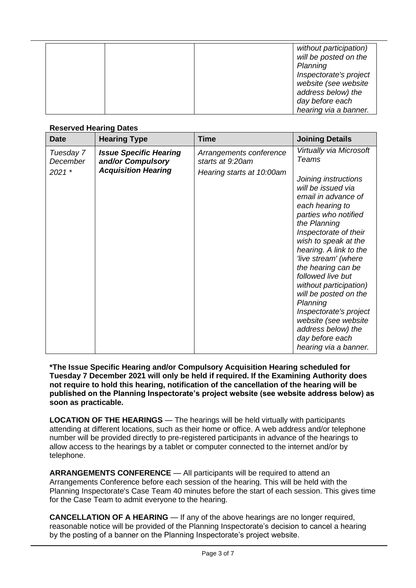|  |  | without participation) |
|--|--|------------------------|
|  |  | will be posted on the  |
|  |  | Planning               |
|  |  | Inspectorate's project |
|  |  | website (see website   |
|  |  | address below) the     |
|  |  | day before each        |
|  |  | hearing via a banner.  |

# **Reserved Hearing Dates**

| <b>Date</b>                     | <b>Hearing Type</b>                                                              | <b>Time</b>                                                              | <b>Joining Details</b>                                                                                                                                                                                                                                                                                                                                                                                                                                                                                   |
|---------------------------------|----------------------------------------------------------------------------------|--------------------------------------------------------------------------|----------------------------------------------------------------------------------------------------------------------------------------------------------------------------------------------------------------------------------------------------------------------------------------------------------------------------------------------------------------------------------------------------------------------------------------------------------------------------------------------------------|
| Tuesday 7<br>December<br>2021 * | <b>Issue Specific Hearing</b><br>and/or Compulsory<br><b>Acquisition Hearing</b> | Arrangements conference<br>starts at 9:20am<br>Hearing starts at 10:00am | Virtually via Microsoft<br><b>Teams</b><br>Joining instructions<br>will be issued via<br>email in advance of<br>each hearing to<br>parties who notified<br>the Planning<br>Inspectorate of their<br>wish to speak at the<br>hearing. A link to the<br>'live stream' (where<br>the hearing can be<br>followed live but<br>without participation)<br>will be posted on the<br>Planning<br>Inspectorate's project<br>website (see website<br>address below) the<br>day before each<br>hearing via a banner. |

**\*The Issue Specific Hearing and/or Compulsory Acquisition Hearing scheduled for Tuesday 7 December 2021 will only be held if required. If the Examining Authority does not require to hold this hearing, notification of the cancellation of the hearing will be published on the Planning Inspectorate's project website (see website address below) as soon as practicable.**

**LOCATION OF THE HEARINGS** — The hearings will be held virtually with participants attending at different locations, such as their home or office. A web address and/or telephone number will be provided directly to pre-registered participants in advance of the hearings to allow access to the hearings by a tablet or computer connected to the internet and/or by telephone.

**ARRANGEMENTS CONFERENCE** — All participants will be required to attend an Arrangements Conference before each session of the hearing. This will be held with the Planning Inspectorate's Case Team 40 minutes before the start of each session. This gives time for the Case Team to admit everyone to the hearing.

**CANCELLATION OF A HEARING** — If any of the above hearings are no longer required, reasonable notice will be provided of the Planning Inspectorate's decision to cancel a hearing by the posting of a banner on the Planning Inspectorate's project website.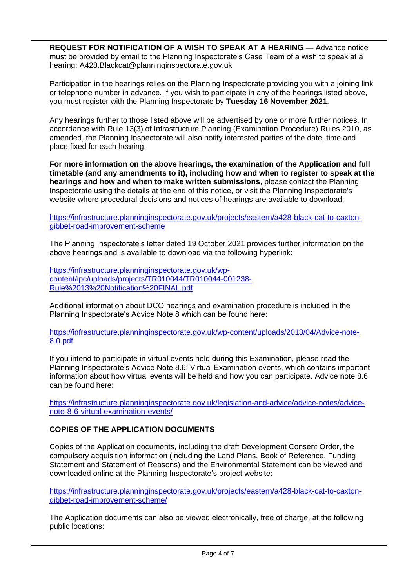**REQUEST FOR NOTIFICATION OF A WISH TO SPEAK AT A HEARING** — Advance notice must be provided by email to the Planning Inspectorate's Case Team of a wish to speak at a hearing: A428.Blackcat@planninginspectorate.gov.uk

Participation in the hearings relies on the Planning Inspectorate providing you with a joining link or telephone number in advance. If you wish to participate in any of the hearings listed above, you must register with the Planning Inspectorate by **Tuesday 16 November 2021**.

Any hearings further to those listed above will be advertised by one or more further notices. In accordance with Rule 13(3) of Infrastructure Planning (Examination Procedure) Rules 2010, as amended, the Planning Inspectorate will also notify interested parties of the date, time and place fixed for each hearing.

**For more information on the above hearings, the examination of the Application and full timetable (and any amendments to it), including how and when to register to speak at the hearings and how and when to make written submissions**, please contact the Planning Inspectorate using the details at the end of this notice, or visit the Planning Inspectorate's website where procedural decisions and notices of hearings are available to download:

[https://infrastructure.planninginspectorate.gov.uk/projects/eastern/a428-black-cat-to-caxton](https://infrastructure.planninginspectorate.gov.uk/projects/eastern/a428-black-cat-to-caxton-gibbet-road-improvement-scheme)[gibbet-road-improvement-scheme](https://infrastructure.planninginspectorate.gov.uk/projects/eastern/a428-black-cat-to-caxton-gibbet-road-improvement-scheme)

The Planning Inspectorate's letter dated 19 October 2021 provides further information on the above hearings and is available to download via the following hyperlink:

[https://infrastructure.planninginspectorate.gov.uk/wp](https://infrastructure.planninginspectorate.gov.uk/wp-content/ipc/uploads/projects/TR010044/TR010044-001238-Rule%2013%20Notification%20FINAL.pdf)[content/ipc/uploads/projects/TR010044/TR010044-001238-](https://infrastructure.planninginspectorate.gov.uk/wp-content/ipc/uploads/projects/TR010044/TR010044-001238-Rule%2013%20Notification%20FINAL.pdf) [Rule%2013%20Notification%20FINAL.pdf](https://infrastructure.planninginspectorate.gov.uk/wp-content/ipc/uploads/projects/TR010044/TR010044-001238-Rule%2013%20Notification%20FINAL.pdf)

Additional information about DCO hearings and examination procedure is included in the Planning Inspectorate's Advice Note 8 which can be found here:

[https://infrastructure.planninginspectorate.gov.uk/wp-content/uploads/2013/04/Advice-note-](https://infrastructure.planninginspectorate.gov.uk/wp-content/uploads/2013/04/Advice-note-8.0.pdf)[8.0.pdf](https://infrastructure.planninginspectorate.gov.uk/wp-content/uploads/2013/04/Advice-note-8.0.pdf)

If you intend to participate in virtual events held during this Examination, please read the Planning Inspectorate's Advice Note 8.6: Virtual Examination events, which contains important information about how virtual events will be held and how you can participate. Advice note 8.6 can be found here:

[https://infrastructure.planninginspectorate.gov.uk/legislation-and-advice/advice-notes/advice](https://infrastructure.planninginspectorate.gov.uk/legislation-and-advice/advice-notes/advice-note-8-6-virtual-examination-events/)[note-8-6-virtual-examination-events/](https://infrastructure.planninginspectorate.gov.uk/legislation-and-advice/advice-notes/advice-note-8-6-virtual-examination-events/)

# **COPIES OF THE APPLICATION DOCUMENTS**

Copies of the Application documents, including the draft Development Consent Order, the compulsory acquisition information (including the Land Plans, Book of Reference, Funding Statement and Statement of Reasons) and the Environmental Statement can be viewed and downloaded online at the Planning Inspectorate's project website:

[https://infrastructure.planninginspectorate.gov.uk/projects/eastern/a428-black-cat-to-caxton](https://infrastructure.planninginspectorate.gov.uk/projects/eastern/a428-black-cat-to-caxton-gibbet-road-improvement-scheme/)[gibbet-road-improvement-scheme/](https://infrastructure.planninginspectorate.gov.uk/projects/eastern/a428-black-cat-to-caxton-gibbet-road-improvement-scheme/)

The Application documents can also be viewed electronically, free of charge, at the following public locations: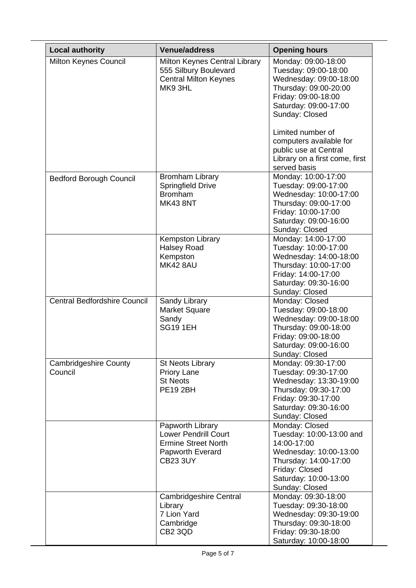| <b>Local authority</b>                  | <b>Venue/address</b>                                                                                                        | <b>Opening hours</b>                                                                                                                                                      |
|-----------------------------------------|-----------------------------------------------------------------------------------------------------------------------------|---------------------------------------------------------------------------------------------------------------------------------------------------------------------------|
| Milton Keynes Council                   | Milton Keynes Central Library<br>555 Silbury Boulevard<br><b>Central Milton Keynes</b><br>MK93HL                            | Monday: 09:00-18:00<br>Tuesday: 09:00-18:00<br>Wednesday: 09:00-18:00<br>Thursday: 09:00-20:00<br>Friday: 09:00-18:00<br>Saturday: 09:00-17:00<br>Sunday: Closed          |
|                                         |                                                                                                                             | Limited number of<br>computers available for<br>public use at Central<br>Library on a first come, first<br>served basis                                                   |
| <b>Bedford Borough Council</b>          | <b>Bromham Library</b><br><b>Springfield Drive</b><br><b>Bromham</b><br><b>MK43 8NT</b>                                     | Monday: 10:00-17:00<br>Tuesday: 09:00-17:00<br>Wednesday: 10:00-17:00<br>Thursday: 09:00-17:00<br>Friday: 10:00-17:00<br>Saturday: 09:00-16:00<br>Sunday: Closed          |
|                                         | <b>Kempston Library</b><br><b>Halsey Road</b><br>Kempston<br><b>MK42 8AU</b>                                                | Monday: 14:00-17:00<br>Tuesday: 10:00-17:00<br>Wednesday: 14:00-18:00<br>Thursday: 10:00-17:00<br>Friday: 14:00-17:00<br>Saturday: 09:30-16:00<br>Sunday: Closed          |
| <b>Central Bedfordshire Council</b>     | Sandy Library<br><b>Market Square</b><br>Sandy<br><b>SG19 1EH</b>                                                           | Monday: Closed<br>Tuesday: 09:00-18:00<br>Wednesday: 09:00-18:00<br>Thursday: 09:00-18:00<br>Friday: 09:00-18:00<br>Saturday: 09:00-16:00<br>Sunday: Closed               |
| <b>Cambridgeshire County</b><br>Council | <b>St Neots Library</b><br><b>Priory Lane</b><br><b>St Neots</b><br><b>PE19 2BH</b>                                         | Monday: 09:30-17:00<br>Tuesday: 09:30-17:00<br>Wednesday: 13:30-19:00<br>Thursday: 09:30-17:00<br>Friday: 09:30-17:00<br>Saturday: 09:30-16:00<br>Sunday: Closed          |
|                                         | Papworth Library<br><b>Lower Pendrill Court</b><br><b>Ermine Street North</b><br><b>Papworth Everard</b><br><b>CB23 3UY</b> | Monday: Closed<br>Tuesday: 10:00-13:00 and<br>14:00-17:00<br>Wednesday: 10:00-13:00<br>Thursday: 14:00-17:00<br>Friday: Closed<br>Saturday: 10:00-13:00<br>Sunday: Closed |
|                                         | Cambridgeshire Central<br>Library<br>7 Lion Yard<br>Cambridge<br>CB <sub>2</sub> 3QD                                        | Monday: 09:30-18:00<br>Tuesday: 09:30-18:00<br>Wednesday: 09:30-19:00<br>Thursday: 09:30-18:00<br>Friday: 09:30-18:00<br>Saturday: 10:00-18:00                            |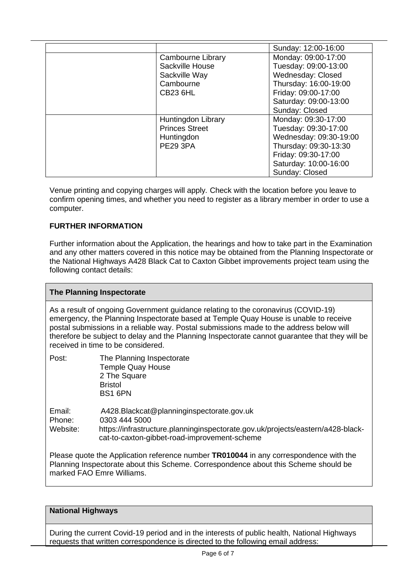|                       | Sunday: 12:00-16:00    |
|-----------------------|------------------------|
| Cambourne Library     | Monday: 09:00-17:00    |
| Sackville House       | Tuesday: 09:00-13:00   |
| Sackville Way         | Wednesday: Closed      |
| Cambourne             | Thursday: 16:00-19:00  |
| <b>CB23 6HL</b>       | Friday: 09:00-17:00    |
|                       | Saturday: 09:00-13:00  |
|                       | Sunday: Closed         |
| Huntingdon Library    | Monday: 09:30-17:00    |
| <b>Princes Street</b> | Tuesday: 09:30-17:00   |
| Huntingdon            | Wednesday: 09:30-19:00 |
| <b>PE29 3PA</b>       | Thursday: 09:30-13:30  |
|                       | Friday: 09:30-17:00    |
|                       | Saturday: 10:00-16:00  |
|                       | Sunday: Closed         |

Venue printing and copying charges will apply*.* Check with the location before you leave to confirm opening times, and whether you need to register as a library member in order to use a computer.

# **FURTHER INFORMATION**

Further information about the Application, the hearings and how to take part in the Examination and any other matters covered in this notice may be obtained from the Planning Inspectorate or the National Highways A428 Black Cat to Caxton Gibbet improvements project team using the following contact details:

#### **The Planning Inspectorate**

As a result of ongoing Government guidance relating to the coronavirus (COVID-19) emergency, the Planning Inspectorate based at Temple Quay House is unable to receive postal submissions in a reliable way. Postal submissions made to the address below will therefore be subject to delay and the Planning Inspectorate cannot guarantee that they will be received in time to be considered.

| Post:                        | The Planning Inspectorate<br><b>Temple Quay House</b><br>2 The Square<br><b>Bristol</b><br>BS1 6PN                                                                                            |
|------------------------------|-----------------------------------------------------------------------------------------------------------------------------------------------------------------------------------------------|
| Email:<br>Phone:<br>Website: | A428.Blackcat@planninginspectorate.gov.uk<br>0303 444 5000<br>https://infrastructure.planninginspectorate.gov.uk/projects/eastern/a428-black-<br>cat-to-caxton-gibbet-road-improvement-scheme |
|                              | Please quote the Application reference number <b>TR010044</b> in any correspondence with the                                                                                                  |

Planning Inspectorate about this Scheme. Correspondence about this Scheme should be marked FAO Emre Williams.

#### **National Highways**

During the current Covid-19 period and in the interests of public health, National Highways requests that written correspondence is directed to the following email address: